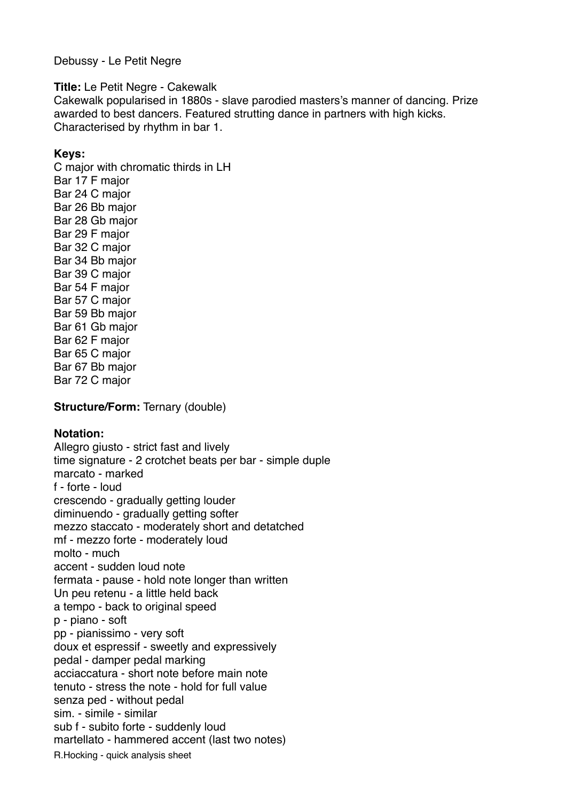Debussy - Le Petit Negre

**Title:** Le Petit Negre - Cakewalk

Cakewalk popularised in 1880s - slave parodied masters's manner of dancing. Prize awarded to best dancers. Featured strutting dance in partners with high kicks. Characterised by rhythm in bar 1.

## **Keys:**

C major with chromatic thirds in LH Bar 17 F major Bar 24 C major Bar 26 Bb major Bar 28 Gb major Bar 29 F major Bar 32 C major Bar 34 Bb major Bar 39 C major Bar 54 F major Bar 57 C major Bar 59 Bb major Bar 61 Gb major Bar 62 F major Bar 65 C major Bar 67 Bb major Bar 72 C major

**Structure/Form:** Ternary (double)

## **Notation:**

Allegro giusto - strict fast and lively time signature - 2 crotchet beats per bar - simple duple marcato - marked f - forte - loud crescendo - gradually getting louder diminuendo - gradually getting softer mezzo staccato - moderately short and detatched mf - mezzo forte - moderately loud molto - much accent - sudden loud note fermata - pause - hold note longer than written Un peu retenu - a little held back a tempo - back to original speed p - piano - soft pp - pianissimo - very soft doux et espressif - sweetly and expressively pedal - damper pedal marking acciaccatura - short note before main note tenuto - stress the note - hold for full value senza ped - without pedal sim. - simile - similar sub f - subito forte - suddenly loud martellato - hammered accent (last two notes) R.Hocking - quick analysis sheet